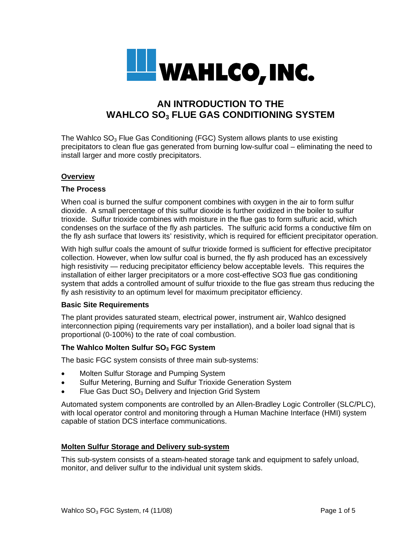

# **AN INTRODUCTION TO THE WAHLCO SO3 FLUE GAS CONDITIONING SYSTEM**

The Wahlco  $SO<sub>3</sub>$  Flue Gas Conditioning (FGC) System allows plants to use existing precipitators to clean flue gas generated from burning low-sulfur coal – eliminating the need to install larger and more costly precipitators.

## **Overview**

#### **The Process**

When coal is burned the sulfur component combines with oxygen in the air to form sulfur dioxide. A small percentage of this sulfur dioxide is further oxidized in the boiler to sulfur trioxide. Sulfur trioxide combines with moisture in the flue gas to form sulfuric acid, which condenses on the surface of the fly ash particles. The sulfuric acid forms a conductive film on the fly ash surface that lowers its' resistivity, which is required for efficient precipitator operation.

With high sulfur coals the amount of sulfur trioxide formed is sufficient for effective precipitator collection. However, when low sulfur coal is burned, the fly ash produced has an excessively high resistivity — reducing precipitator efficiency below acceptable levels. This requires the installation of either larger precipitators or a more cost-effective SO3 flue gas conditioning system that adds a controlled amount of sulfur trioxide to the flue gas stream thus reducing the fly ash resistivity to an optimum level for maximum precipitator efficiency.

#### **Basic Site Requirements**

The plant provides saturated steam, electrical power, instrument air, Wahlco designed interconnection piping (requirements vary per installation), and a boiler load signal that is proportional (0-100%) to the rate of coal combustion.

#### **The Wahlco Molten Sulfur SO<sub>3</sub> FGC System**

The basic FGC system consists of three main sub-systems:

- Molten Sulfur Storage and Pumping System
- Sulfur Metering, Burning and Sulfur Trioxide Generation System
- Flue Gas Duct  $SO<sub>3</sub>$  Delivery and Injection Grid System

Automated system components are controlled by an Allen-Bradley Logic Controller (SLC/PLC), with local operator control and monitoring through a Human Machine Interface (HMI) system capable of station DCS interface communications.

#### **Molten Sulfur Storage and Delivery sub-system**

This sub-system consists of a steam-heated storage tank and equipment to safely unload, monitor, and deliver sulfur to the individual unit system skids.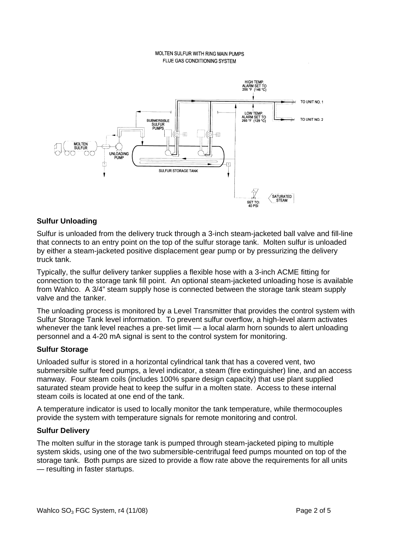#### MOLTEN SULFUR WITH RING MAIN PUMPS FLUE GAS CONDITIONING SYSTEM



# **Sulfur Unloading**

Sulfur is unloaded from the delivery truck through a 3-inch steam-jacketed ball valve and fill-line that connects to an entry point on the top of the sulfur storage tank. Molten sulfur is unloaded by either a steam-jacketed positive displacement gear pump or by pressurizing the delivery truck tank.

Typically, the sulfur delivery tanker supplies a flexible hose with a 3-inch ACME fitting for connection to the storage tank fill point. An optional steam-jacketed unloading hose is available from Wahlco. A 3/4" steam supply hose is connected between the storage tank steam supply valve and the tanker.

The unloading process is monitored by a Level Transmitter that provides the control system with Sulfur Storage Tank level information. To prevent sulfur overflow, a high-level alarm activates whenever the tank level reaches a pre-set limit — a local alarm horn sounds to alert unloading personnel and a 4-20 mA signal is sent to the control system for monitoring.

#### **Sulfur Storage**

Unloaded sulfur is stored in a horizontal cylindrical tank that has a covered vent, two submersible sulfur feed pumps, a level indicator, a steam (fire extinguisher) line, and an access manway. Four steam coils (includes 100% spare design capacity) that use plant supplied saturated steam provide heat to keep the sulfur in a molten state. Access to these internal steam coils is located at one end of the tank.

A temperature indicator is used to locally monitor the tank temperature, while thermocouples provide the system with temperature signals for remote monitoring and control.

#### **Sulfur Delivery**

The molten sulfur in the storage tank is pumped through steam-jacketed piping to multiple system skids, using one of the two submersible-centrifugal feed pumps mounted on top of the storage tank. Both pumps are sized to provide a flow rate above the requirements for all units — resulting in faster startups.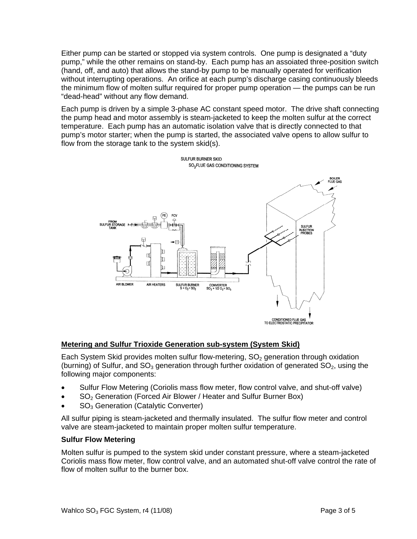Either pump can be started or stopped via system controls. One pump is designated a "duty pump," while the other remains on stand-by. Each pump has an assoiated three-position switch (hand, off, and auto) that allows the stand-by pump to be manually operated for verification without interrupting operations. An orifice at each pump's discharge casing continuously bleeds the minimum flow of molten sulfur required for proper pump operation — the pumps can be run "dead-head" without any flow demand.

Each pump is driven by a simple 3-phase AC constant speed motor. The drive shaft connecting the pump head and motor assembly is steam-jacketed to keep the molten sulfur at the correct temperature. Each pump has an automatic isolation valve that is directly connected to that pump's motor starter; when the pump is started, the associated valve opens to allow sulfur to flow from the storage tank to the system skid(s).



# **Metering and Sulfur Trioxide Generation sub-system (System Skid)**

Each System Skid provides molten sulfur flow-metering,  $SO<sub>2</sub>$  generation through oxidation (burning) of Sulfur, and  $SO_3$  generation through further oxidation of generated  $SO_2$ , using the following major components:

- Sulfur Flow Metering (Coriolis mass flow meter, flow control valve, and shut-off valve)
- SO<sub>2</sub> Generation (Forced Air Blower / Heater and Sulfur Burner Box)
- SO<sub>3</sub> Generation (Catalytic Converter)

All sulfur piping is steam-jacketed and thermally insulated. The sulfur flow meter and control valve are steam-jacketed to maintain proper molten sulfur temperature.

# **Sulfur Flow Metering**

Molten sulfur is pumped to the system skid under constant pressure, where a steam-jacketed Coriolis mass flow meter, flow control valve, and an automated shut-off valve control the rate of flow of molten sulfur to the burner box.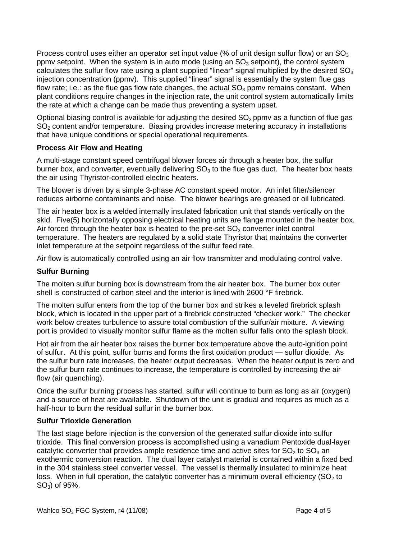Process control uses either an operator set input value (% of unit design sulfur flow) or an  $SO<sub>3</sub>$ ppmy setpoint. When the system is in auto mode (using an  $SO_3$  setpoint), the control system calculates the sulfur flow rate using a plant supplied "linear" signal multiplied by the desired  $SO<sub>3</sub>$ injection concentration (ppmv). This supplied "linear" signal is essentially the system flue gas flow rate; i.e.: as the flue gas flow rate changes, the actual  $SO<sub>3</sub>$  ppmv remains constant. When plant conditions require changes in the injection rate, the unit control system automatically limits the rate at which a change can be made thus preventing a system upset.

Optional biasing control is available for adjusting the desired  $SO<sub>3</sub>$  ppmv as a function of flue gas SO<sub>2</sub> content and/or temperature. Biasing provides increase metering accuracy in installations that have unique conditions or special operational requirements.

# **Process Air Flow and Heating**

A multi-stage constant speed centrifugal blower forces air through a heater box, the sulfur burner box, and converter, eventually delivering  $SO<sub>3</sub>$  to the flue gas duct. The heater box heats the air using Thyristor-controlled electric heaters.

The blower is driven by a simple 3-phase AC constant speed motor. An inlet filter/silencer reduces airborne contaminants and noise. The blower bearings are greased or oil lubricated.

The air heater box is a welded internally insulated fabrication unit that stands vertically on the skid. Five(5) horizontally opposing electrical heating units are flange mounted in the heater box. Air forced through the heater box is heated to the pre-set  $SO<sub>3</sub>$  converter inlet control temperature. The heaters are regulated by a solid state Thyristor that maintains the converter inlet temperature at the setpoint regardless of the sulfur feed rate.

Air flow is automatically controlled using an air flow transmitter and modulating control valve.

# **Sulfur Burning**

The molten sulfur burning box is downstream from the air heater box. The burner box outer shell is constructed of carbon steel and the interior is lined with 2600 °F firebrick.

The molten sulfur enters from the top of the burner box and strikes a leveled firebrick splash block, which is located in the upper part of a firebrick constructed "checker work." The checker work below creates turbulence to assure total combustion of the sulfur/air mixture. A viewing port is provided to visually monitor sulfur flame as the molten sulfur falls onto the splash block.

Hot air from the air heater box raises the burner box temperature above the auto-ignition point of sulfur. At this point, sulfur burns and forms the first oxidation product — sulfur dioxide. As the sulfur burn rate increases, the heater output decreases. When the heater output is zero and the sulfur burn rate continues to increase, the temperature is controlled by increasing the air flow (air quenching).

Once the sulfur burning process has started, sulfur will continue to burn as long as air (oxygen) and a source of heat are available. Shutdown of the unit is gradual and requires as much as a half-hour to burn the residual sulfur in the burner box.

# **Sulfur Trioxide Generation**

The last stage before injection is the conversion of the generated sulfur dioxide into sulfur trioxide. This final conversion process is accomplished using a vanadium Pentoxide dual-layer catalytic converter that provides ample residence time and active sites for  $SO_2$  to  $SO_3$  an exothermic conversion reaction. The dual layer catalyst material is contained within a fixed bed in the 304 stainless steel converter vessel. The vessel is thermally insulated to minimize heat loss. When in full operation, the catalytic converter has a minimum overall efficiency ( $SO<sub>2</sub>$  to  $SO<sub>3</sub>$ ) of 95%.